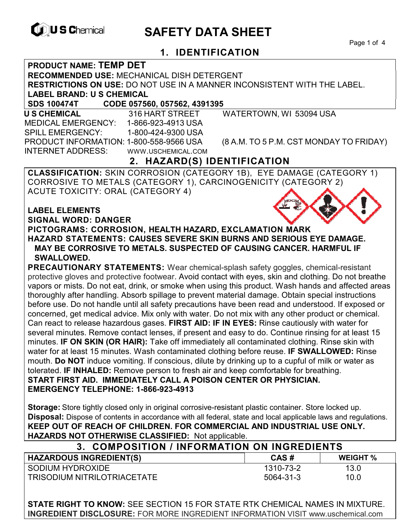

# **EXAGREM** SAFETY DATA SHEET

Page 1 of 4

# **1. IDENTIFICATION**

#### **PRODUCT NAME: TEMP DET**

**RECOMMENDED USE:** MECHANICAL DISH DETERGENT

**RESTRICTIONS ON USE:** DO NOT USE IN A MANNER INCONSISTENT WITH THE LABEL.

**LABEL BRAND: U S CHEMICAL**

**SDS 100474T CODE 057560, 057562, 4391395** 

 **U S CHEMICAL** 316 HART STREET WATERTOWN, WI 53094 USA MEDICAL EMERGENCY: 1-866-923-4913 USA SPILL EMERGENCY: 1-800-424-9300 USA INTERNET ADDRESS: WWW.USCHEMICAL.COM

PRODUCT INFORMATION: 1-800-558-9566 USA (8 A.M. TO 5 P.M. CST MONDAY TO FRIDAY)

# **2. HAZARD(S) IDENTIFICATION**

**CLASSIFICATION:** SKIN CORROSION (CATEGORY 1B), EYE DAMAGE (CATEGORY 1) CORROSIVE TO METALS (CATEGORY 1), CARCINOGENICITY (CATEGORY 2) ACUTE TOXICITY: ORAL (CATEGORY 4)

**LABEL ELEMENTS SIGNAL WORD: DANGER PICTOGRAMS: CORROSION, HEALTH HAZARD, EXCLAMATION MARK HAZARD STATEMENTS: CAUSES SEVERE SKIN BURNS AND SERIOUS EYE DAMAGE. MAY BE CORROSIVE TO METALS. SUSPECTED OF CAUSING CANCER. HARMFUL IF SWALLOWED.** 

**PRECAUTIONARY STATEMENTS:** Wear chemical-splash safety goggles, chemical-resistant protective gloves and protective footwear. Avoid contact with eyes, skin and clothing. Do not breathe vapors or mists. Do not eat, drink, or smoke when using this product. Wash hands and affected areas thoroughly after handling. Absorb spillage to prevent material damage. Obtain special instructions before use. Do not handle until all safety precautions have been read and understood. If exposed or concerned, get medical advice. Mix only with water. Do not mix with any other product or chemical. Can react to release hazardous gases. **FIRST AID: IF IN EYES:** Rinse cautiously with water for several minutes. Remove contact lenses, if present and easy to do. Continue rinsing for at least 15 minutes. **IF ON SKIN (OR HAIR):** Take off immediately all contaminated clothing. Rinse skin with water for at least 15 minutes. Wash contaminated clothing before reuse. **IF SWALLOWED:** Rinse mouth. **Do NOT** induce vomiting. If conscious, dilute by drinking up to a cupful of milk or water as tolerated. **IF INHALED:** Remove person to fresh air and keep comfortable for breathing. **START FIRST AID. IMMEDIATELY CALL A POISON CENTER OR PHYSICIAN. EMERGENCY TELEPHONE: 1-866-923-4913** 

**Storage:** Store tightly closed only in original corrosive-resistant plastic container. Store locked up. **Disposal:** Dispose of contents in accordance with all federal, state and local applicable laws and regulations. **KEEP OUT OF REACH OF CHILDREN. FOR COMMERCIAL AND INDUSTRIAL USE ONLY. HAZARDS NOT OTHERWISE CLASSIFIED:** Not applicable.

| 3. COMPOSITION / INFORMATION ON INGREDIENTS |           |                 |  |
|---------------------------------------------|-----------|-----------------|--|
| <b>HAZARDOUS INGREDIENT(S)</b>              | CAS#      | <b>WEIGHT %</b> |  |
| SODIUM HYDROXIDE                            | 1310-73-2 | 13.0            |  |
| TRISODIUM NITRILOTRIACETATE                 | 5064-31-3 | 10.0            |  |

**STATE RIGHT TO KNOW:** SEE SECTION 15 FOR STATE RTK CHEMICAL NAMES IN MIXTURE. **INGREDIENT DISCLOSURE:** FOR MORE INGREDIENT INFORMATION VISIT www.uschemical.com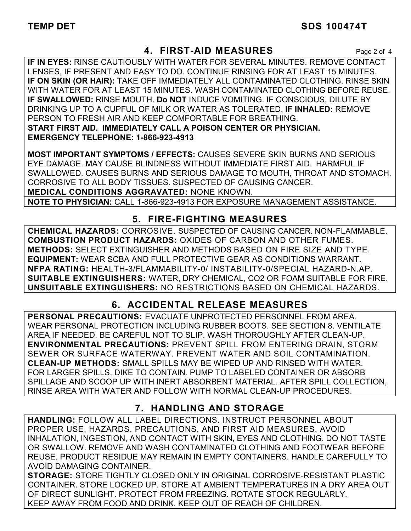### **4. FIRST-AID MEASURES** Page 2 of 4

**IF IN EYES:** RINSE CAUTIOUSLY WITH WATER FOR SEVERAL MINUTES. REMOVE CONTACT LENSES, IF PRESENT AND EASY TO DO. CONTINUE RINSING FOR AT LEAST 15 MINUTES. **IF ON SKIN (OR HAIR):** TAKE OFF IMMEDIATELY ALL CONTAMINATED CLOTHING. RINSE SKIN WITH WATER FOR AT LEAST 15 MINUTES. WASH CONTAMINATED CLOTHING BEFORE REUSE. **IF SWALLOWED:** RINSE MOUTH. **Do NOT** INDUCE VOMITING. IF CONSCIOUS, DILUTE BY DRINKING UP TO A CUPFUL OF MILK OR WATER AS TOLERATED. **IF INHALED:** REMOVE PERSON TO FRESH AIR AND KEEP COMFORTABLE FOR BREATHING. **START FIRST AID. IMMEDIATELY CALL A POISON CENTER OR PHYSICIAN. EMERGENCY TELEPHONE: 1-866-923-4913**

**MOST IMPORTANT SYMPTOMS / EFFECTS:** CAUSES SEVERE SKIN BURNS AND SERIOUS EYE DAMAGE. MAY CAUSE BLINDNESS WITHOUT IMMEDIATE FIRST AID. HARMFUL IF SWALLOWED. CAUSES BURNS AND SERIOUS DAMAGE TO MOUTH, THROAT AND STOMACH. CORROSIVE TO ALL BODY TISSUES. SUSPECTED OF CAUSING CANCER. **MEDICAL CONDITIONS AGGRAVATED:** NONE KNOWN.

**NOTE TO PHYSICIAN:** CALL 1-866-923-4913 FOR EXPOSURE MANAGEMENT ASSISTANCE.

### **5. FIRE-FIGHTING MEASURES**

**CHEMICAL HAZARDS:** CORROSIVE. SUSPECTED OF CAUSING CANCER. NON-FLAMMABLE. **COMBUSTION PRODUCT HAZARDS:** OXIDES OF CARBON AND OTHER FUMES. **METHODS:** SELECT EXTINGUISHER AND METHODS BASED ON FIRE SIZE AND TYPE. **EQUIPMENT:** WEAR SCBA AND FULL PROTECTIVE GEAR AS CONDITIONS WARRANT. **NFPA RATING:** HEALTH-3/FLAMMABILITY-0/ INSTABILITY-0/SPECIAL HAZARD-N.AP. **SUITABLE EXTINGUISHERS:** WATER, DRY CHEMICAL, CO2 OR FOAM SUITABLE FOR FIRE. **UNSUITABLE EXTINGUISHERS:** NO RESTRICTIONS BASED ON CHEMICAL HAZARDS.

# **6. ACCIDENTAL RELEASE MEASURES**

**PERSONAL PRECAUTIONS:** EVACUATE UNPROTECTED PERSONNEL FROM AREA. WEAR PERSONAL PROTECTION INCLUDING RUBBER BOOTS. SEE SECTION 8. VENTILATE AREA IF NEEDED. BE CAREFUL NOT TO SLIP. WASH THOROUGHLY AFTER CLEAN-UP. **ENVIRONMENTAL PRECAUTIONS:** PREVENT SPILL FROM ENTERING DRAIN, STORM SEWER OR SURFACE WATERWAY. PREVENT WATER AND SOIL CONTAMINATION. **CLEAN-UP METHODS:** SMALL SPILLS MAY BE WIPED UP AND RINSED WITH WATER. FOR LARGER SPILLS, DIKE TO CONTAIN. PUMP TO LABELED CONTAINER OR ABSORB SPILLAGE AND SCOOP UP WITH INERT ABSORBENT MATERIAL. AFTER SPILL COLLECTION, RINSE AREA WITH WATER AND FOLLOW WITH NORMAL CLEAN-UP PROCEDURES.

# **7. HANDLING AND STORAGE**

**HANDLING:** FOLLOW ALL LABEL DIRECTIONS. INSTRUCT PERSONNEL ABOUT PROPER USE, HAZARDS, PRECAUTIONS, AND FIRST AID MEASURES. AVOID INHALATION, INGESTION, AND CONTACT WITH SKIN, EYES AND CLOTHING. DO NOT TASTE OR SWALLOW. REMOVE AND WASH CONTAMINATED CLOTHING AND FOOTWEAR BEFORE REUSE. PRODUCT RESIDUE MAY REMAIN IN EMPTY CONTAINERS. HANDLE CAREFULLY TO AVOID DAMAGING CONTAINER.

**STORAGE:** STORE TIGHTLY CLOSED ONLY IN ORIGINAL CORROSIVE-RESISTANT PLASTIC CONTAINER. STORE LOCKED UP. STORE AT AMBIENT TEMPERATURES IN A DRY AREA OUT OF DIRECT SUNLIGHT. PROTECT FROM FREEZING. ROTATE STOCK REGULARLY. KEEP AWAY FROM FOOD AND DRINK. KEEP OUT OF REACH OF CHILDREN.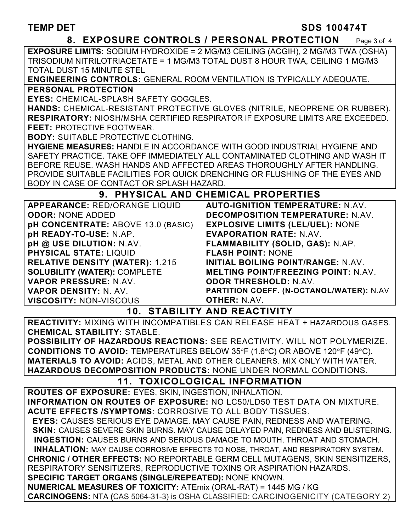#### TEMP DET SDS 100474T

#### **8. EXPOSURE CONTROLS / PERSONAL PROTECTION** Page 3 of 4

**EXPOSURE LIMITS:** SODIUM HYDROXIDE = 2 MG/M3 CEILING (ACGIH), 2 MG/M3 TWA (OSHA) TRISODIUM NITRILOTRIACETATE = 1 MG/M3 TOTAL DUST 8 HOUR TWA, CEILING 1 MG/M3 TOTAL DUST 15 MINUTE STEL

**ENGINEERING CONTROLS:** GENERAL ROOM VENTILATION IS TYPICALLY ADEQUATE.

#### **PERSONAL PROTECTION**

**EYES:** CHEMICAL-SPLASH SAFETY GOGGLES.

**HANDS:** CHEMICAL-RESISTANT PROTECTIVE GLOVES (NITRILE, NEOPRENE OR RUBBER). **RESPIRATORY:** NIOSH/MSHA CERTIFIED RESPIRATOR IF EXPOSURE LIMITS ARE EXCEEDED. **FEET:** PROTECTIVE FOOTWEAR.

**BODY:** SUITABLE PROTECTIVE CLOTHING.

**HYGIENE MEASURES:** HANDLE IN ACCORDANCE WITH GOOD INDUSTRIAL HYGIENE AND SAFETY PRACTICE. TAKE OFF IMMEDIATELY ALL CONTAMINATED CLOTHING AND WASH IT BEFORE REUSE. WASH HANDS AND AFFECTED AREAS THOROUGHLY AFTER HANDLING. PROVIDE SUITABLE FACILITIES FOR QUICK DRENCHING OR FLUSHING OF THE EYES AND BODY IN CASE OF CONTACT OR SPLASH HAZARD.

### **9. PHYSICAL AND CHEMICAL PROPERTIES**

| APPEARANCE: RED/ORANGE LIQUID          | <b>AUTO-IGNITION TEMPERATURE: N.AV.</b>    |
|----------------------------------------|--------------------------------------------|
| <b>ODOR: NONE ADDED</b>                | <b>DECOMPOSITION TEMPERATURE: N.AV.</b>    |
| pH CONCENTRATE: ABOVE 13.0 (BASIC)     | <b>EXPLOSIVE LIMITS (LEL/UEL): NONE</b>    |
| pH READY-TO-USE: N.AP.                 | <b>EVAPORATION RATE: N.AV.</b>             |
| pH @ USE DILUTION: N.AV.               | FLAMMABILITY (SOLID, GAS): N.AP.           |
| <b>PHYSICAL STATE: LIQUID</b>          | <b>FLASH POINT: NONE</b>                   |
| <b>RELATIVE DENSITY (WATER): 1.215</b> | INITIAL BOILING POINT/RANGE: N.AV.         |
| <b>SOLUBILITY (WATER): COMPLETE</b>    | <b>MELTING POINT/FREEZING POINT: N.AV.</b> |
| VAPOR PRESSURE: N.AV.                  | <b>ODOR THRESHOLD: N.AV.</b>               |
| VAPOR DENSITY: N. AV.                  | PARTITION COEFF. (N-OCTANOL/WATER): N.AV   |
| <b>VISCOSITY: NON-VISCOUS</b>          | <b>OTHER: N.AV.</b>                        |

### **10. STABILITY AND REACTIVITY**

**REACTIVITY:** MIXING WITH INCOMPATIBLES CAN RELEASE HEAT + HAZARDOUS GASES. **CHEMICAL STABILITY:** STABLE.

**POSSIBILITY OF HAZARDOUS REACTIONS:** SEE REACTIVITY. WILL NOT POLYMERIZE. **CONDITIONS TO AVOID:** TEMPERATURES BELOW 35°F (1.6°C) OR ABOVE 120°F (49°C). **MATERIALS TO AVOID:** ACIDS, METAL AND OTHER CLEANERS. MIX ONLY WITH WATER. **HAZARDOUS DECOMPOSITION PRODUCTS:** NONE UNDER NORMAL CONDITIONS.

# **11. TOXICOLOGICAL INFORMATION**

**ROUTES OF EXPOSURE:** EYES, SKIN, INGESTION, INHALATION. **INFORMATION ON ROUTES OF EXPOSURE:** NO LC50/LD50 TEST DATA ON MIXTURE. **ACUTE EFFECTS /SYMPTOMS**: CORROSIVE TO ALL BODY TISSUES.  **EYES:** CAUSES SERIOUS EYE DAMAGE. MAY CAUSE PAIN, REDNESS AND WATERING.  **SKIN:** CAUSES SEVERE SKIN BURNS. MAY CAUSE DELAYED PAIN, REDNESS AND BLISTERING. **INGESTION:** CAUSES BURNS AND SERIOUS DAMAGE TO MOUTH, THROAT AND STOMACH. **INHALATION:** MAY CAUSE CORROSIVE EFFECTS TO NOSE, THROAT, AND RESPIRATORY SYSTEM. **CHRONIC / OTHER EFFECTS:** NO REPORTABLE GERM CELL MUTAGENS, SKIN SENSITIZERS, RESPIRATORY SENSITIZERS, REPRODUCTIVE TOXINS OR ASPIRATION HAZARDS. **SPECIFIC TARGET ORGANS (SINGLE/REPEATED):** NONE KNOWN. **NUMERICAL MEASURES OF TOXICITY:** ATEmix (ORAL-RAT) = 1445 MG / KG **CARCINOGENS:** NTA **(**CAS 5064-31-3) is OSHA CLASSIFIED: CARCINOGENICITY (CATEGORY 2)